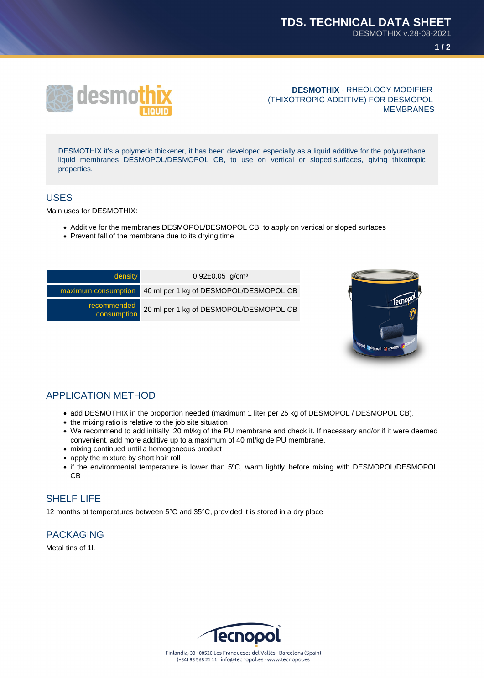**1 / 2**



#### **DESMOTHIX** - RHEOLOGY MODIFIER (THIXOTROPIC ADDITIVE) FOR DESMOPOL MEMBRANES

DESMOTHIX it's a polymeric thickener, it has been developed especially as a liquid additive for the polyurethane liquid membranes DESMOPOL/DESMOPOL CB, to use on vertical or sloped surfaces, giving thixotropic properties.

### USES

Main uses for DESMOTHIX:

- Additive for the membranes DESMOPOL/DESMOPOL CB, to apply on vertical or sloped surfaces
- Prevent fall of the membrane due to its drying time

| density                    | $0,92\pm0,05$ g/cm <sup>3</sup>                            |
|----------------------------|------------------------------------------------------------|
|                            | maximum consumption 40 ml per 1 kg of DESMOPOL/DESMOPOL CB |
| recommended<br>consumption | 20 ml per 1 kg of DESMOPOL/DESMOPOL CB                     |
|                            |                                                            |



## APPLICATION METHOD

- add DESMOTHIX in the proportion needed (maximum 1 liter per 25 kg of DESMOPOL / DESMOPOL CB).
- the mixing ratio is relative to the job site situation
- We recommend to add initially 20 ml/kg of the PU membrane and check it. If necessary and/or if it were deemed convenient, add more additive up to a maximum of 40 ml/kg de PU membrane.
- mixing continued until a homogeneous product
- apply the mixture by short hair roll
- if the environmental temperature is lower than 5ºC, warm lightly before mixing with DESMOPOL/DESMOPOL CB

## SHELF LIFE

12 months at temperatures between 5°C and 35°C, provided it is stored in a dry place

# PACKAGING

Metal tins of 1l.